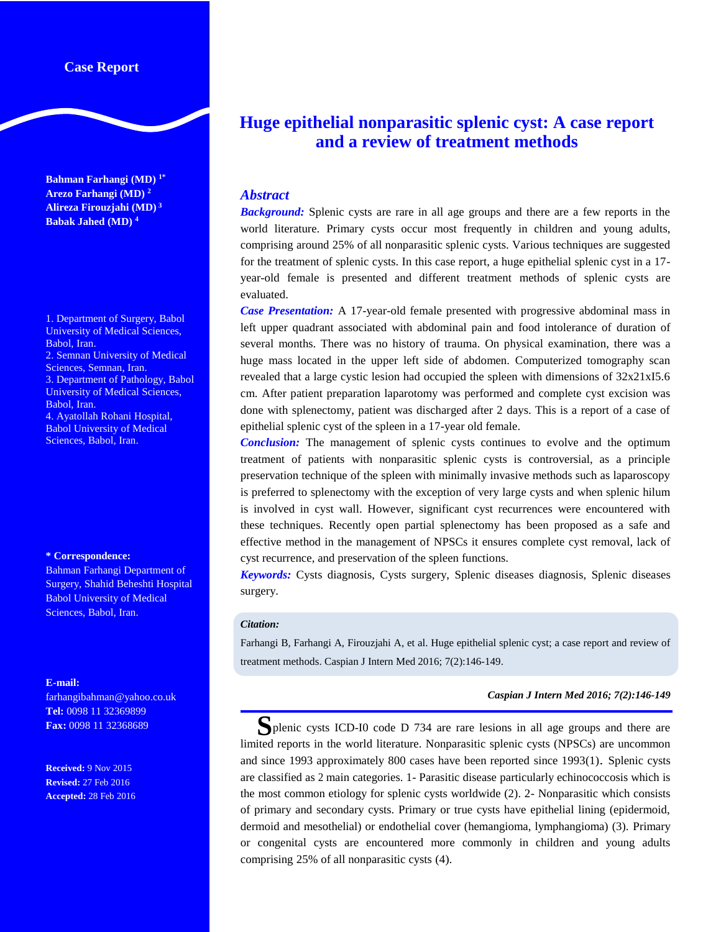# **Case Report**

**Bahman Farhangi (MD) 1\* Arezo Farhangi (MD) <sup>2</sup> Alireza Firouzjahi (MD) 3 Babak Jahed (MD) <sup>4</sup>**

1. Department of Surgery, Babol University of Medical Sciences, Babol, Iran. 2. Semnan University of Medical Sciences, Semnan, Iran.

3. Department of Pathology, Babol University of Medical Sciences, Babol, Iran. 4. Ayatollah Rohani Hospital,

Babol University of Medical Sciences, Babol, Iran.

#### **\* Correspondence:**

Bahman Farhangi Department of Surgery, Shahid Beheshti Hospital Babol University of Medical Sciences, Babol, Iran.

#### **E-mail:**

farhangibahman@yahoo.co.uk **Tel:** 0098 11 32369899 **Fax:** 0098 11 32368689

**Received:** 9 Nov 2015 **Revised:** 27 Feb 2016 **Accepted:** 28 Feb 2016

# **Huge epithelial nonparasitic splenic cyst: A case report and a review of treatment methods**

## *Abstract*

*Background:* Splenic cysts are rare in all age groups and there are a few reports in the world literature. Primary cysts occur most frequently in children and young adults, comprising around 25% of all nonparasitic splenic cysts. Various techniques are suggested for the treatment of splenic cysts. In this case report, a huge epithelial splenic cyst in a 17 year-old female is presented and different treatment methods of splenic cysts are evaluated.

*Case Presentation:* A 17-year-old female presented with progressive abdominal mass in left upper quadrant associated with abdominal pain and food intolerance of duration of several months. There was no history of trauma. On physical examination, there was a huge mass located in the upper left side of abdomen. Computerized tomography scan revealed that a large cystic lesion had occupied the spleen with dimensions of  $32x21x15.6$ cm. After patient preparation laparotomy was performed and complete cyst excision was done with splenectomy, patient was discharged after 2 days. This is a report of a case of epithelial splenic cyst of the spleen in a 17-year old female.

*Conclusion:* The management of splenic cysts continues to evolve and the optimum treatment of patients with nonparasitic splenic cysts is controversial, as a principle preservation technique of the spleen with minimally invasive methods such as laparoscopy is preferred to splenectomy with the exception of very large cysts and when splenic hilum is involved in cyst wall. However, significant cyst recurrences were encountered with these techniques. Recently open partial splenectomy has been proposed as a safe and effective method in the management of NPSCs it ensures complete cyst removal, lack of cyst recurrence, and preservation of the spleen functions.

*Keywords:* Cysts diagnosis, Cysts surgery, Splenic diseases diagnosis, Splenic diseases surgery.

#### *Citation:*

Farhangi B, Farhangi A, Firouzjahi A, et al. Huge epithelial splenic cyst; a case report and review of treatment methods. Caspian J Intern Med 2016; 7(2):146-149.

#### *Caspian J Intern Med 2016; 7(2):146-149*

Splenic cysts ICD-I0 code D 734 are rare lesions in all age groups and there are limited reports in the world literature. Nonparasitic splenic cysts (NPSCs) are uncommon and since 1993 approximately 800 cases have been reported since 1993(1). Splenic cysts are classified as 2 main categories. 1- Parasitic disease particularly echinococcosis which is the most common etiology for splenic cysts worldwide (2). 2- Nonparasitic which consists of primary and secondary cysts. Primary or true cysts have epithelial lining (epidermoid, dermoid and mesothelial) or endothelial cover (hemangioma, lymphangioma) (3). Primary or congenital cysts are encountered more commonly in children and young adults comprising 25% of all nonparasitic cysts (4).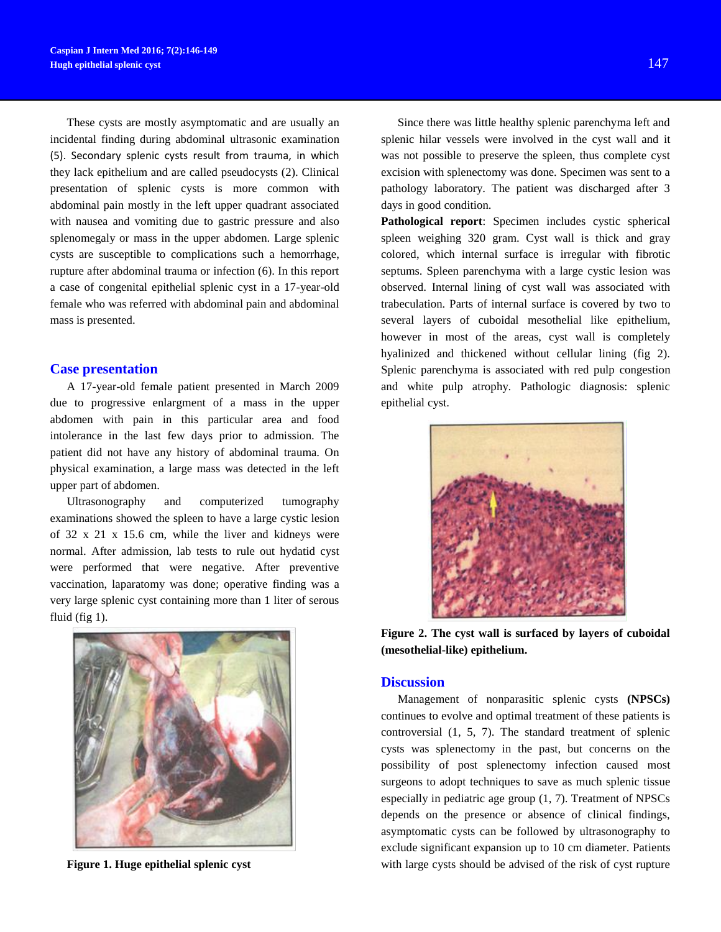These cysts are mostly asymptomatic and are usually an incidental finding during abdominal ultrasonic examination (5). Secondary splenic cysts result from trauma, in which they lack epithelium and are called pseudocysts (2). Clinical presentation of splenic cysts is more common with abdominal pain mostly in the left upper quadrant associated with nausea and vomiting due to gastric pressure and also splenomegaly or mass in the upper abdomen. Large splenic cysts are susceptible to complications such a hemorrhage, rupture after abdominal trauma or infection (6). In this report a case of congenital epithelial splenic cyst in a 17-year-old female who was referred with abdominal pain and abdominal mass is presented.

## **Case presentation**

A 17-year-old female patient presented in March 2009 due to progressive enlargment of a mass in the upper abdomen with pain in this particular area and food intolerance in the last few days prior to admission. The patient did not have any history of abdominal trauma. On physical examination, a large mass was detected in the left upper part of abdomen.

Ultrasonography and computerized tumography examinations showed the spleen to have a large cystic lesion of 32 x 21 x 15.6 cm, while the liver and kidneys were normal. After admission, lab tests to rule out hydatid cyst were performed that were negative. After preventive vaccination, laparatomy was done; operative finding was a very large splenic cyst containing more than 1 liter of serous fluid (fig 1).



**Figure 1. Huge epithelial splenic cyst**

Since there was little healthy splenic parenchyma left and splenic hilar vessels were involved in the cyst wall and it was not possible to preserve the spleen, thus complete cyst excision with splenectomy was done. Specimen was sent to a pathology laboratory. The patient was discharged after 3 days in good condition.

**Pathological report**: Specimen includes cystic spherical spleen weighing 320 gram. Cyst wall is thick and gray colored, which internal surface is irregular with fibrotic septums. Spleen parenchyma with a large cystic lesion was observed. Internal lining of cyst wall was associated with trabeculation. Parts of internal surface is covered by two to several layers of cuboidal mesothelial like epithelium, however in most of the areas, cyst wall is completely hyalinized and thickened without cellular lining (fig 2). Splenic parenchyma is associated with red pulp congestion and white pulp atrophy. Pathologic diagnosis: splenic epithelial cyst.



**Figure 2. The cyst wall is surfaced by layers of cuboidal (mesothelial-like) epithelium.**

## **Discussion**

Management of nonparasitic splenic cysts **(NPSCs)**  continues to evolve and optimal treatment of these patients is controversial (1, 5, 7). The standard treatment of splenic cysts was splenectomy in the past, but concerns on the possibility of post splenectomy infection caused most surgeons to adopt techniques to save as much splenic tissue especially in pediatric age group (1, 7). Treatment of NPSCs depends on the presence or absence of clinical findings, asymptomatic cysts can be followed by ultrasonography to exclude significant expansion up to 10 cm diameter. Patients with large cysts should be advised of the risk of cyst rupture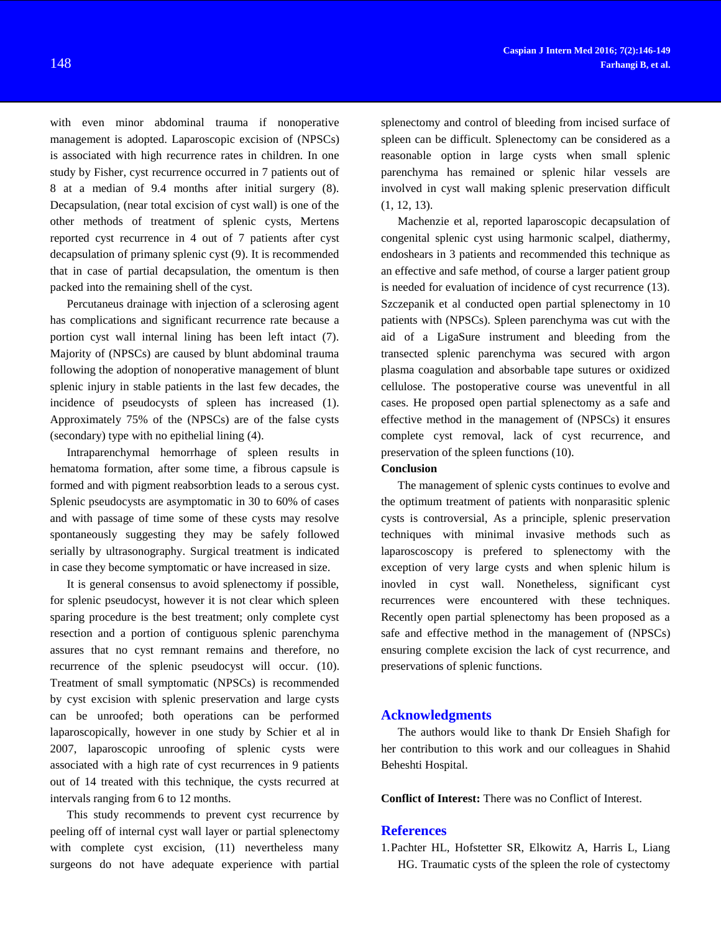with even minor abdominal trauma if nonoperative management is adopted. Laparoscopic excision of (NPSCs) is associated with high recurrence rates in children. In one study by Fisher, cyst recurrence occurred in 7 patients out of 8 at a median of 9.4 months after initial surgery (8). Decapsulation, (near total excision of cyst wall) is one of the other methods of treatment of splenic cysts, Mertens reported cyst recurrence in 4 out of 7 patients after cyst decapsulation of primany splenic cyst (9). It is recommended that in case of partial decapsulation, the omentum is then packed into the remaining shell of the cyst.

Percutaneus drainage with injection of a sclerosing agent has complications and significant recurrence rate because a portion cyst wall internal lining has been left intact (7). Majority of (NPSCs) are caused by blunt abdominal trauma following the adoption of nonoperative management of blunt splenic injury in stable patients in the last few decades, the incidence of pseudocysts of spleen has increased (1). Approximately 75% of the (NPSCs) are of the false cysts (secondary) type with no epithelial lining (4).

Intraparenchymal hemorrhage of spleen results in hematoma formation, after some time, a fibrous capsule is formed and with pigment reabsorbtion leads to a serous cyst. Splenic pseudocysts are asymptomatic in 30 to 60% of cases and with passage of time some of these cysts may resolve spontaneously suggesting they may be safely followed serially by ultrasonography. Surgical treatment is indicated in case they become symptomatic or have increased in size.

It is general consensus to avoid splenectomy if possible, for splenic pseudocyst, however it is not clear which spleen sparing procedure is the best treatment; only complete cyst resection and a portion of contiguous splenic parenchyma assures that no cyst remnant remains and therefore, no recurrence of the splenic pseudocyst will occur. (10). Treatment of small symptomatic (NPSCs) is recommended by cyst excision with splenic preservation and large cysts can be unroofed; both operations can be performed laparoscopically, however in one study by Schier et al in 2007, laparoscopic unroofing of splenic cysts were associated with a high rate of cyst recurrences in 9 patients out of 14 treated with this technique, the cysts recurred at intervals ranging from 6 to 12 months.

This study recommends to prevent cyst recurrence by peeling off of internal cyst wall layer or partial splenectomy with complete cyst excision, (11) nevertheless many surgeons do not have adequate experience with partial

splenectomy and control of bleeding from incised surface of spleen can be difficult. Splenectomy can be considered as a reasonable option in large cysts when small splenic parenchyma has remained or splenic hilar vessels are involved in cyst wall making splenic preservation difficult (1, 12, 13).

Machenzie et al, reported laparoscopic decapsulation of congenital splenic cyst using harmonic scalpel, diathermy, endoshears in 3 patients and recommended this technique as an effective and safe method, of course a larger patient group is needed for evaluation of incidence of cyst recurrence (13). Szczepanik et al conducted open partial splenectomy in 10 patients with (NPSCs). Spleen parenchyma was cut with the aid of a LigaSure instrument and bleeding from the transected splenic parenchyma was secured with argon plasma coagulation and absorbable tape sutures or oxidized cellulose. The postoperative course was uneventful in all cases. He proposed open partial splenectomy as a safe and effective method in the management of (NPSCs) it ensures complete cyst removal, lack of cyst recurrence, and preservation of the spleen functions (10).

#### **Conclusion**

The management of splenic cysts continues to evolve and the optimum treatment of patients with nonparasitic splenic cysts is controversial, As a principle, splenic preservation techniques with minimal invasive methods such as laparoscoscopy is prefered to splenectomy with the exception of very large cysts and when splenic hilum is inovled in cyst wall. Nonetheless, significant cyst recurrences were encountered with these techniques. Recently open partial splenectomy has been proposed as a safe and effective method in the management of (NPSCs) ensuring complete excision the lack of cyst recurrence, and preservations of splenic functions.

## **Acknowledgments**

The authors would like to thank Dr Ensieh Shafigh for her contribution to this work and our colleagues in Shahid Beheshti Hospital.

**Conflict of Interest:** There was no Conflict of Interest.

## **References**

1.Pachter HL, Hofstetter SR, Elkowitz A, Harris L, Liang HG. Traumatic cysts of the spleen the role of cystectomy